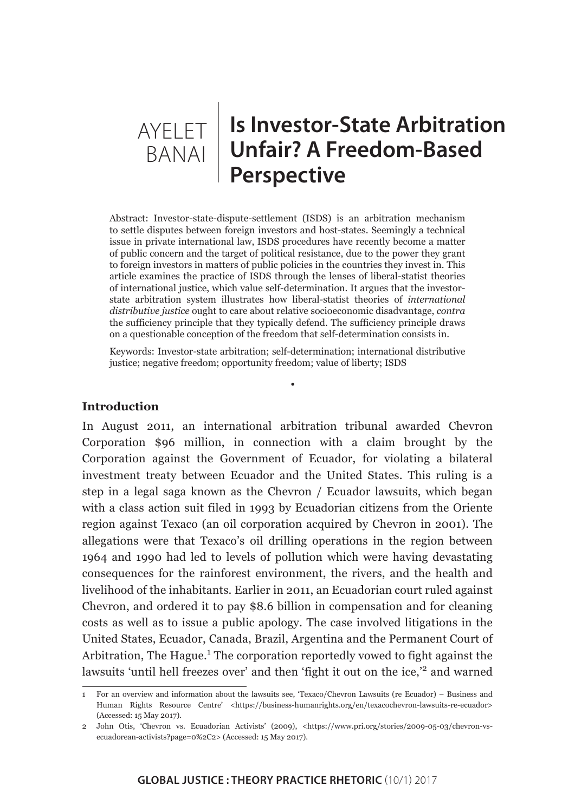

## **AYELET | Is Investor-State Arbitration Unfair? A Freedom-Based Perspective**

Abstract: Investor-state-dispute-settlement (ISDS) is an arbitration mechanism to settle disputes between foreign investors and host-states. Seemingly a technical issue in private international law, ISDS procedures have recently become a matter of public concern and the target of political resistance, due to the power they grant to foreign investors in matters of public policies in the countries they invest in. This article examines the practice of ISDS through the lenses of liberal-statist theories of international justice, which value self-determination. It argues that the investorstate arbitration system illustrates how liberal-statist theories of *international distributive justice* ought to care about relative socioeconomic disadvantage, *contra* the sufficiency principle that they typically defend. The sufficiency principle draws on a questionable conception of the freedom that self-determination consists in.

Keywords: Investor-state arbitration; self-determination; international distributive justice; negative freedom; opportunity freedom; value of liberty; ISDS

•

## **Introduction**

In August 2011, an international arbitration tribunal awarded Chevron Corporation \$96 million, in connection with a claim brought by the Corporation against the Government of Ecuador, for violating a bilateral investment treaty between Ecuador and the United States. This ruling is a step in a legal saga known as the Chevron / Ecuador lawsuits, which began with a class action suit filed in 1993 by Ecuadorian citizens from the Oriente region against Texaco (an oil corporation acquired by Chevron in 2001). The allegations were that Texaco's oil drilling operations in the region between 1964 and 1990 had led to levels of pollution which were having devastating consequences for the rainforest environment, the rivers, and the health and livelihood of the inhabitants. Earlier in 2011, an Ecuadorian court ruled against Chevron, and ordered it to pay \$8.6 billion in compensation and for cleaning costs as well as to issue a public apology. The case involved litigations in the United States, Ecuador, Canada, Brazil, Argentina and the Permanent Court of Arbitration, The Hague.<sup>1</sup> The corporation reportedly vowed to fight against the lawsuits 'until hell freezes over' and then 'fight it out on the ice,<sup>'2</sup> and warned

<sup>1</sup> For an overview and information about the lawsuits see, 'Texaco/Chevron Lawsuits (re Ecuador) – Business and Human Rights Resource Centre' <https://business-humanrights.org/en/texacochevron-lawsuits-re-ecuador> (Accessed: 15 May 2017).

<sup>2</sup> John Otis, 'Chevron vs. Ecuadorian Activists' (2009), <https://www.pri.org/stories/2009-05-03/chevron-vsecuadorean-activists?page=0%2C2> (Accessed: 15 May 2017).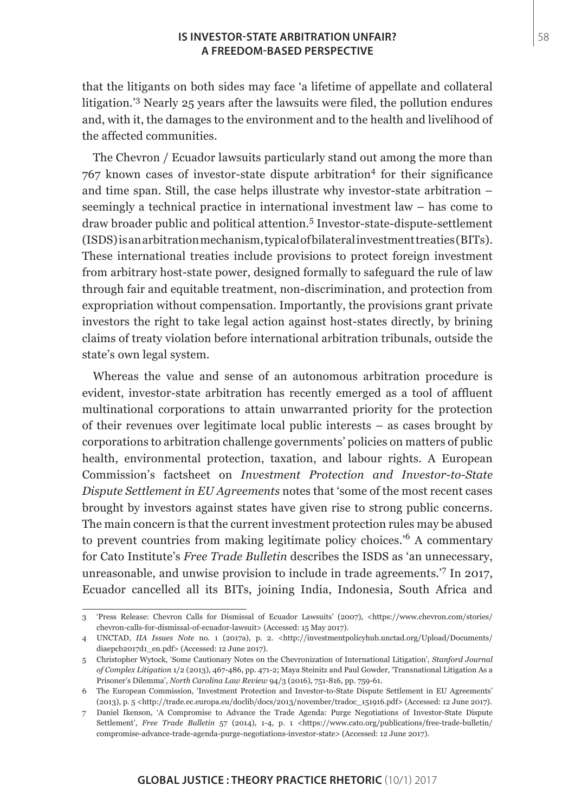## **IS INVESTOR-STATE ARBITRATION UNFAIR?** 58 **A FREEDOM-BASED PERSPECTIVE**

that the litigants on both sides may face 'a lifetime of appellate and collateral litigation.'<sup>3</sup> Nearly 25 years after the lawsuits were filed, the pollution endures and, with it, the damages to the environment and to the health and livelihood of the affected communities.

The Chevron / Ecuador lawsuits particularly stand out among the more than  $767$  known cases of investor-state dispute arbitration<sup>4</sup> for their significance and time span. Still, the case helps illustrate why investor-state arbitration – seemingly a technical practice in international investment law – has come to draw broader public and political attention.<sup>5</sup> Investor-state-dispute-settlement (ISDS) is an arbitration mechanism, typical of bilateral investment treaties (BITs). These international treaties include provisions to protect foreign investment from arbitrary host-state power, designed formally to safeguard the rule of law through fair and equitable treatment, non-discrimination, and protection from expropriation without compensation. Importantly, the provisions grant private investors the right to take legal action against host-states directly, by brining claims of treaty violation before international arbitration tribunals, outside the state's own legal system.

Whereas the value and sense of an autonomous arbitration procedure is evident, investor-state arbitration has recently emerged as a tool of affluent multinational corporations to attain unwarranted priority for the protection of their revenues over legitimate local public interests – as cases brought by corporations to arbitration challenge governments' policies on matters of public health, environmental protection, taxation, and labour rights. A European Commission's factsheet on *Investment Protection and Investor-to-State Dispute Settlement in EU Agreements* notes that 'some of the most recent cases brought by investors against states have given rise to strong public concerns. The main concern is that the current investment protection rules may be abused to prevent countries from making legitimate policy choices.'6 A commentary for Cato Institute's *Free Trade Bulletin* describes the ISDS as 'an unnecessary, unreasonable, and unwise provision to include in trade agreements.<sup>7</sup> In 2017, Ecuador cancelled all its BITs, joining India, Indonesia, South Africa and

<sup>3</sup> 'Press Release: Chevron Calls for Dismissal of Ecuador Lawsuits' (2007), <https://www.chevron.com/stories/ chevron-calls-for-dismissal-of-ecuador-lawsuit> (Accessed: 15 May 2017).

<sup>4</sup> UNCTAD, *IIA Issues Note* no. 1 (2017a), p. 2. <http://investmentpolicyhub.unctad.org/Upload/Documents/ diaepcb2017d1\_en.pdf> (Accessed: 12 June 2017).

<sup>5</sup> Christopher Wytock, 'Some Cautionary Notes on the Chevronization of International Litigation', *Stanford Journal of Complex Litigation* 1/2 (2013), 467-486, pp. 471-2; Maya Steinitz and Paul Gowder, 'Transnational Litigation As a Prisoner's Dilemma', *North Carolina Law Review* 94/3 (2016), 751-816, pp. 759-61.

<sup>6</sup> The European Commission, 'Investment Protection and Investor-to-State Dispute Settlement in EU Agreements' (2013), p. 5 <http://trade.ec.europa.eu/doclib/docs/2013/november/tradoc\_151916.pdf> (Accessed: 12 June 2017).

<sup>7</sup> Daniel Ikenson, 'A Compromise to Advance the Trade Agenda: Purge Negotiations of Investor-State Dispute Settlement', *Free Trade Bulletin* 57 (2014), 1-4, p. 1 <https://www.cato.org/publications/free-trade-bulletin/ compromise-advance-trade-agenda-purge-negotiations-investor-state> (Accessed: 12 June 2017).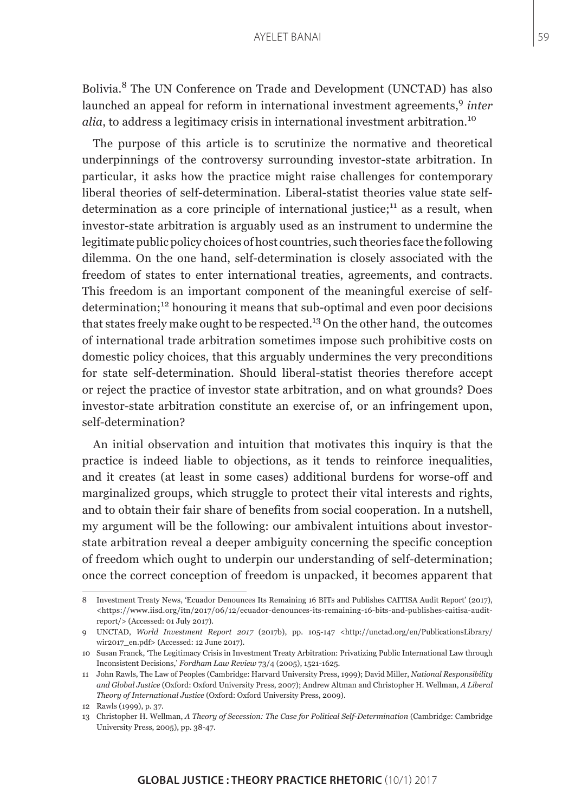Bolivia.8 The UN Conference on Trade and Development (UNCTAD) has also launched an appeal for reform in international investment agreements,<sup>9</sup> *inter alia*, to address a legitimacy crisis in international investment arbitration.<sup>10</sup>

The purpose of this article is to scrutinize the normative and theoretical underpinnings of the controversy surrounding investor-state arbitration. In particular, it asks how the practice might raise challenges for contemporary liberal theories of self-determination. Liberal-statist theories value state selfdetermination as a core principle of international justice; $^{11}$  as a result, when investor-state arbitration is arguably used as an instrument to undermine the legitimate public policy choices of host countries, such theories face the following dilemma. On the one hand, self-determination is closely associated with the freedom of states to enter international treaties, agreements, and contracts. This freedom is an important component of the meaningful exercise of selfdetermination;12 honouring it means that sub-optimal and even poor decisions that states freely make ought to be respected.<sup>13</sup> On the other hand, the outcomes of international trade arbitration sometimes impose such prohibitive costs on domestic policy choices, that this arguably undermines the very preconditions for state self-determination. Should liberal-statist theories therefore accept or reject the practice of investor state arbitration, and on what grounds? Does investor-state arbitration constitute an exercise of, or an infringement upon, self-determination?

An initial observation and intuition that motivates this inquiry is that the practice is indeed liable to objections, as it tends to reinforce inequalities, and it creates (at least in some cases) additional burdens for worse-off and marginalized groups, which struggle to protect their vital interests and rights, and to obtain their fair share of benefits from social cooperation. In a nutshell, my argument will be the following: our ambivalent intuitions about investorstate arbitration reveal a deeper ambiguity concerning the specific conception of freedom which ought to underpin our understanding of self-determination; once the correct conception of freedom is unpacked, it becomes apparent that

<sup>8</sup> Investment Treaty News, 'Ecuador Denounces Its Remaining 16 BITs and Publishes CAITISA Audit Report' (2017),  $\langle$ https://www.iisd.org/itn/2017/06/12/ecuador-denounces-its-remaining-16-bits-and-publishes-caitisa-auditreport/> (Accessed: 01 July 2017).

<sup>9</sup> UNCTAD, *World Investment Report 2017* (2017b), pp. 105-147 <http://unctad.org/en/PublicationsLibrary/ wir2017\_en.pdf> (Accessed: 12 June 2017).

<sup>10</sup> Susan Franck, 'The Legitimacy Crisis in Investment Treaty Arbitration: Privatizing Public International Law through Inconsistent Decisions,' *Fordham Law Review* 73/4 (2005), 1521-1625.

<sup>11</sup> John Rawls, The Law of Peoples (Cambridge: Harvard University Press, 1999); David Miller, *National Responsibility and Global Justice* (Oxford: Oxford University Press, 2007); Andrew Altman and Christopher H. Wellman, *A Liberal Theory of International Justice* (Oxford: Oxford University Press, 2009).

<sup>12</sup> Rawls (1999), p. 37.

<sup>13</sup> Christopher H. Wellman, *A Theory of Secession: The Case for Political Self-Determination* (Cambridge: Cambridge University Press, 2005), pp. 38-47.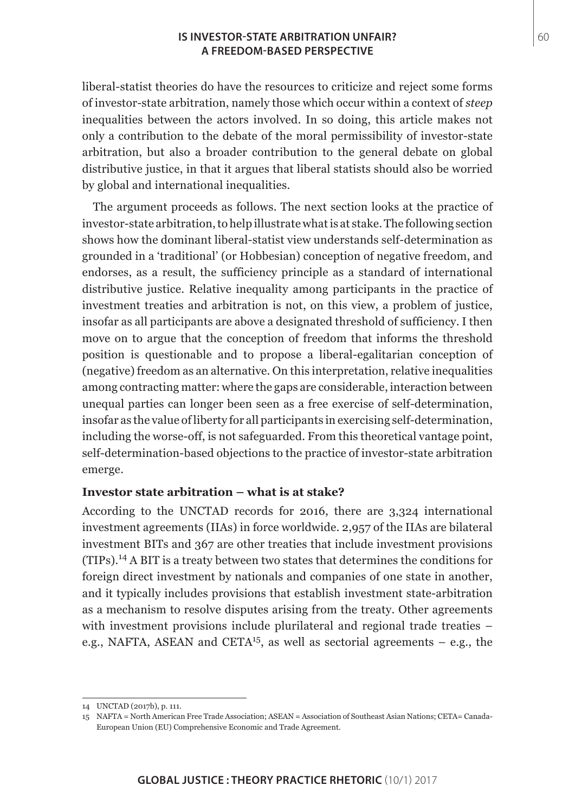#### **IS INVESTOR-STATE ARBITRATION UNFAIR?** 60 **A FREEDOM-BASED PERSPECTIVE**

liberal-statist theories do have the resources to criticize and reject some forms of investor-state arbitration, namely those which occur within a context of *steep* inequalities between the actors involved. In so doing, this article makes not only a contribution to the debate of the moral permissibility of investor-state arbitration, but also a broader contribution to the general debate on global distributive justice, in that it argues that liberal statists should also be worried by global and international inequalities.

The argument proceeds as follows. The next section looks at the practice of investor-state arbitration, to help illustrate what is at stake. The following section shows how the dominant liberal-statist view understands self-determination as grounded in a 'traditional' (or Hobbesian) conception of negative freedom, and endorses, as a result, the sufficiency principle as a standard of international distributive justice. Relative inequality among participants in the practice of investment treaties and arbitration is not, on this view, a problem of justice, insofar as all participants are above a designated threshold of sufficiency. I then move on to argue that the conception of freedom that informs the threshold position is questionable and to propose a liberal-egalitarian conception of (negative) freedom as an alternative. On this interpretation, relative inequalities among contracting matter: where the gaps are considerable, interaction between unequal parties can longer been seen as a free exercise of self-determination, insofar as the value of liberty for all participants in exercising self-determination, including the worse-off, is not safeguarded. From this theoretical vantage point, self-determination-based objections to the practice of investor-state arbitration emerge.

## **Investor state arbitration – what is at stake?**

According to the UNCTAD records for 2016, there are 3,324 international investment agreements (IIAs) in force worldwide. 2,957 of the IIAs are bilateral investment BITs and 367 are other treaties that include investment provisions (TIPs).14 A BIT is a treaty between two states that determines the conditions for foreign direct investment by nationals and companies of one state in another, and it typically includes provisions that establish investment state-arbitration as a mechanism to resolve disputes arising from the treaty. Other agreements with investment provisions include plurilateral and regional trade treaties – e.g., NAFTA, ASEAN and CETA<sup>15</sup>, as well as sectorial agreements – e.g., the

<sup>14</sup> UNCTAD (2017b), p. 111.

<sup>15</sup> NAFTA = North American Free Trade Association; ASEAN = Association of Southeast Asian Nations; CETA= Canada-European Union (EU) Comprehensive Economic and Trade Agreement.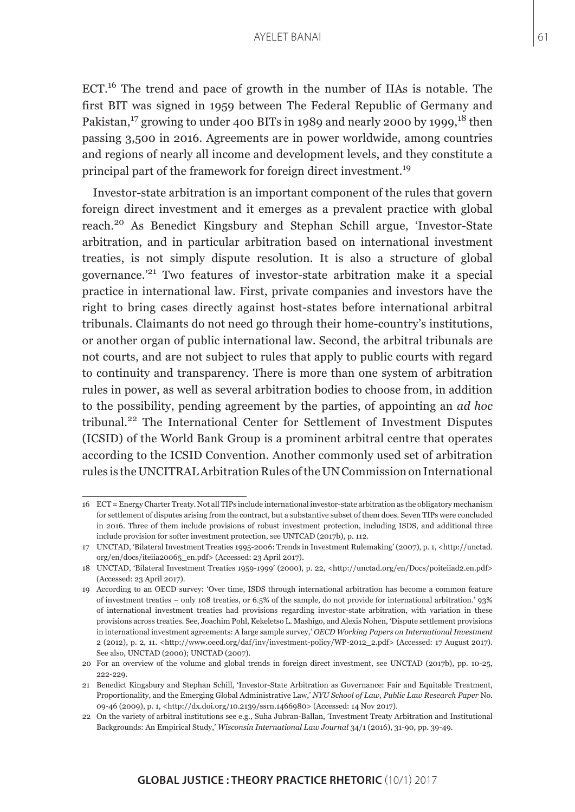ECT.16 The trend and pace of growth in the number of IIAs is notable. The first BIT was signed in 1959 between The Federal Republic of Germany and Pakistan,<sup>17</sup> growing to under 400 BITs in 1989 and nearly 2000 by 1999, <sup>18</sup> then passing 3,500 in 2016. Agreements are in power worldwide, among countries and regions of nearly all income and development levels, and they constitute a principal part of the framework for foreign direct investment.<sup>19</sup>

Investor-state arbitration is an important component of the rules that govern foreign direct investment and it emerges as a prevalent practice with global reach.20 As Benedict Kingsbury and Stephan Schill argue, 'Investor-State arbitration, and in particular arbitration based on international investment treaties, is not simply dispute resolution. It is also a structure of global governance.'21 Two features of investor-state arbitration make it a special practice in international law. First, private companies and investors have the right to bring cases directly against host-states before international arbitral tribunals. Claimants do not need go through their home-country's institutions, or another organ of public international law. Second, the arbitral tribunals are not courts, and are not subject to rules that apply to public courts with regard to continuity and transparency. There is more than one system of arbitration rules in power, as well as several arbitration bodies to choose from, in addition to the possibility, pending agreement by the parties, of appointing an *ad hoc* tribunal.22 The International Center for Settlement of Investment Disputes (ICSID) of the World Bank Group is a prominent arbitral centre that operates according to the ICSID Convention. Another commonly used set of arbitration rules is the UNCITRAL Arbitration Rules of the UN Commission on International

<sup>16</sup> ECT = Energy Charter Treaty. Not all TIPs include international investor-state arbitration as the obligatory mechanism for settlement of disputes arising from the contract, but a substantive subset of them does. Seven TIPs were concluded in 2016. Three of them include provisions of robust investment protection, including ISDS, and additional three include provision for softer investment protection, see UNTCAD (2017b), p. 112.

<sup>17</sup> UNCTAD, 'Bilateral Investment Treaties 1995-2006: Trends in Investment Rulemaking' (2007), p. 1, <http://unctad. org/en/docs/iteiia20065\_en.pdf> (Accessed: 23 April 2017).

<sup>18</sup> UNCTAD, 'Bilateral Investment Treaties 1959-1999' (2000), p. 22, <http://unctad.org/en/Docs/poiteiiad2.en.pdf> (Accessed: 23 April 2017).

<sup>19</sup> According to an OECD survey: 'Over time, ISDS through international arbitration has become a common feature of investment treaties – only 108 treaties, or 6.5% of the sample, do not provide for international arbitration.' 93% of international investment treaties had provisions regarding investor-state arbitration, with variation in these provisions across treaties. See, Joachim Pohl, Kekeletso L. Mashigo, and Alexis Nohen, 'Dispute settlement provisions in international investment agreements: A large sample survey,' *OECD Working Papers on International Investment*  2 (2012), p. 2, 11. <http://www.oecd.org/daf/inv/investment-policy/WP-2012\_2.pdf> (Accessed: 17 August 2017). See also, UNCTAD (2000); UNCTAD (2007).

<sup>20</sup> For an overview of the volume and global trends in foreign direct investment, see UNCTAD (2017b), pp. 10-25, 222-229.

<sup>21</sup> Benedict Kingsbury and Stephan Schill, 'Investor-State Arbitration as Governance: Fair and Equitable Treatment, Proportionality, and the Emerging Global Administrative Law,' *NYU School of Law, Public Law Research Paper* No. 09-46 (2009), p. 1, <http://dx.doi.org/10.2139/ssrn.1466980> (Accessed: 14 Nov 2017).

<sup>22</sup> On the variety of arbitral institutions see e.g., Suha Jubran-Ballan, 'Investment Treaty Arbitration and Institutional Backgrounds: An Empirical Study,' *Wisconsin International Law Journal* 34/1 (2016), 31-90, pp. 39-49.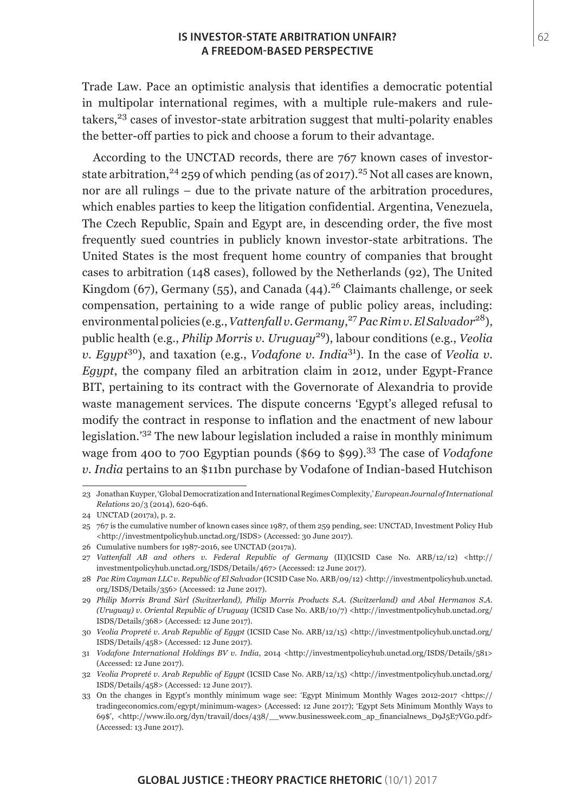#### **IS INVESTOR-STATE ARBITRATION UNFAIR?** 62 **A FREEDOM-BASED PERSPECTIVE**

Trade Law. Pace an optimistic analysis that identifies a democratic potential in multipolar international regimes, with a multiple rule-makers and ruletakers, $23$  cases of investor-state arbitration suggest that multi-polarity enables the better-off parties to pick and choose a forum to their advantage.

According to the UNCTAD records, there are 767 known cases of investorstate arbitration,  $24$  259 of which pending (as of 2017).  $25$  Not all cases are known, nor are all rulings – due to the private nature of the arbitration procedures, which enables parties to keep the litigation confidential. Argentina, Venezuela, The Czech Republic, Spain and Egypt are, in descending order, the five most frequently sued countries in publicly known investor-state arbitrations. The United States is the most frequent home country of companies that brought cases to arbitration (148 cases), followed by the Netherlands (92), The United Kingdom (67), Germany (55), and Canada (44).<sup>26</sup> Claimants challenge, or seek compensation, pertaining to a wide range of public policy areas, including: environmental policies (e.g., *Vattenfall v. Germany*, <sup>27</sup>*Pac Rim v. El Salvador*28), public health (e.g., *Philip Morris v. Uruguay*29), labour conditions (e.g., *Veolia v. Egypt*30), and taxation (e.g., *Vodafone v. India*31). In the case of *Veolia v. Egypt*, the company filed an arbitration claim in 2012, under Egypt-France BIT, pertaining to its contract with the Governorate of Alexandria to provide waste management services. The dispute concerns 'Egypt's alleged refusal to modify the contract in response to inflation and the enactment of new labour legislation.'32 The new labour legislation included a raise in monthly minimum wage from 400 to 700 Egyptian pounds (\$69 to \$99).33 The case of *Vodafone v. India* pertains to an \$11bn purchase by Vodafone of Indian-based Hutchison

<sup>23</sup> Jonathan Kuyper, 'Global Democratization and International Regimes Complexity,' *European Journal of International Relations* 20/3 (2014), 620-646.

<sup>24</sup> UNCTAD (2017a), p. 2.

<sup>25</sup> 767 is the cumulative number of known cases since 1987, of them 259 pending, see: UNCTAD, Investment Policy Hub <http://investmentpolicyhub.unctad.org/ISDS> (Accessed: 30 June 2017).

<sup>26</sup> Cumulative numbers for 1987-2016, see UNCTAD (2017a).

<sup>27</sup> *Vattenfall AB and others v. Federal Republic of Germany* (II)(ICSID Case No. ARB/12/12) <http:// investmentpolicyhub.unctad.org/ISDS/Details/467> (Accessed: 12 June 2017).

<sup>28</sup> *Pac Rim Cayman LLC v. Republic of El Salvador* (ICSID Case No. ARB/09/12) <http://investmentpolicyhub.unctad. org/ISDS/Details/356> (Accessed: 12 June 2017).

<sup>29</sup> *Philip Morris Brand Sàrl (Switzerland), Philip Morris Products S.A. (Switzerland) and Abal Hermanos S.A. (Uruguay) v. Oriental Republic of Uruguay* (ICSID Case No. ARB/10/7) <http://investmentpolicyhub.unctad.org/ ISDS/Details/368> (Accessed: 12 June 2017).

<sup>30</sup> *Veolia Propreté v. Arab Republic of Egypt* (ICSID Case No. ARB/12/15) <http://investmentpolicyhub.unctad.org/ ISDS/Details/458> (Accessed: 12 June 2017).

<sup>31</sup> *Vodafone International Holdings BV v. India*, 2014 <http://investmentpolicyhub.unctad.org/ISDS/Details/581> (Accessed: 12 June 2017).

<sup>32</sup> *Veolia Propreté v. Arab Republic of Egypt* (ICSID Case No. ARB/12/15) <http://investmentpolicyhub.unctad.org/ ISDS/Details/458> (Accessed: 12 June 2017).

<sup>33</sup> On the changes in Egypt's monthly minimum wage see: 'Egypt Minimum Monthly Wages 2012-2017 <https:// tradingeconomics.com/egypt/minimum-wages> (Accessed: 12 June 2017); 'Egypt Sets Minimum Monthly Ways to 69\$', <http://www.ilo.org/dyn/travail/docs/438/\_\_www.businessweek.com\_ap\_financialnews\_D9J5E7VG0.pdf> (Accessed: 13 June 2017).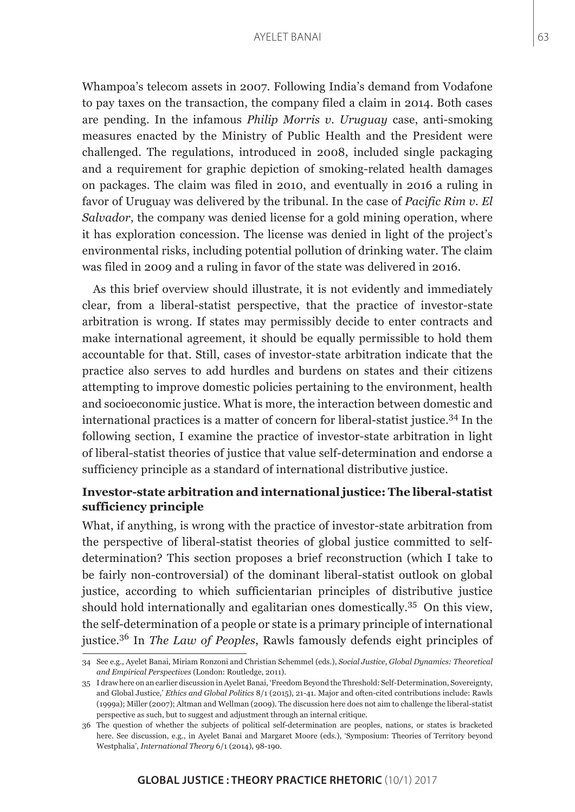Whampoa's telecom assets in 2007. Following India's demand from Vodafone to pay taxes on the transaction, the company filed a claim in 2014. Both cases are pending. In the infamous *Philip Morris v. Uruguay* case, anti-smoking measures enacted by the Ministry of Public Health and the President were challenged. The regulations, introduced in 2008, included single packaging and a requirement for graphic depiction of smoking-related health damages on packages. The claim was filed in 2010, and eventually in 2016 a ruling in favor of Uruguay was delivered by the tribunal. In the case of *Pacific Rim v. El Salvador*, the company was denied license for a gold mining operation, where it has exploration concession. The license was denied in light of the project's environmental risks, including potential pollution of drinking water. The claim was filed in 2009 and a ruling in favor of the state was delivered in 2016.

As this brief overview should illustrate, it is not evidently and immediately clear, from a liberal-statist perspective, that the practice of investor-state arbitration is wrong. If states may permissibly decide to enter contracts and make international agreement, it should be equally permissible to hold them accountable for that. Still, cases of investor-state arbitration indicate that the practice also serves to add hurdles and burdens on states and their citizens attempting to improve domestic policies pertaining to the environment, health and socioeconomic justice. What is more, the interaction between domestic and international practices is a matter of concern for liberal-statist justice.34 In the following section, I examine the practice of investor-state arbitration in light of liberal-statist theories of justice that value self-determination and endorse a sufficiency principle as a standard of international distributive justice.

## **Investor-state arbitration and international justice: The liberal-statist sufficiency principle**

What, if anything, is wrong with the practice of investor-state arbitration from the perspective of liberal-statist theories of global justice committed to selfdetermination? This section proposes a brief reconstruction (which I take to be fairly non-controversial) of the dominant liberal-statist outlook on global justice, according to which sufficientarian principles of distributive justice should hold internationally and egalitarian ones domestically.35 On this view, the self-determination of a people or state is a primary principle of international justice.36 In *The Law of Peoples*, Rawls famously defends eight principles of

<sup>34</sup> See e.g., Ayelet Banai, Miriam Ronzoni and Christian Schemmel (eds.), *Social Justice, Global Dynamics: Theoretical and Empirical Perspectives* (London: Routledge, 2011).

<sup>35</sup> I draw here on an earlier discussion in Ayelet Banai, 'Freedom Beyond the Threshold: Self-Determination, Sovereignty, and Global Justice,' *Ethics and Global Politics* 8/1 (2015), 21-41. Major and often-cited contributions include: Rawls (1999a); Miller (2007); Altman and Wellman (2009). The discussion here does not aim to challenge the liberal-statist perspective as such, but to suggest and adjustment through an internal critique.

<sup>36</sup> The question of whether the subjects of political self-determination are peoples, nations, or states is bracketed here. See discussion, e.g., in Ayelet Banai and Margaret Moore (eds.), 'Symposium: Theories of Territory beyond Westphalia', *International Theory* 6/1 (2014), 98-190.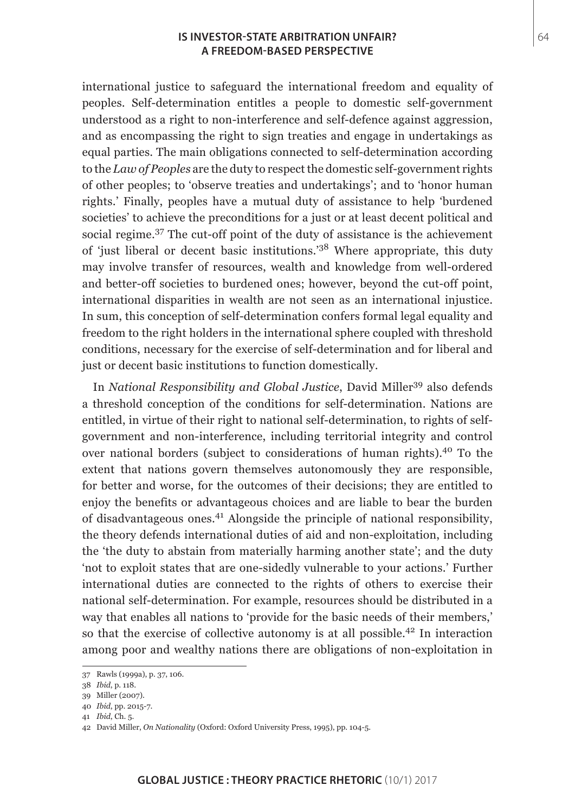#### **IS INVESTOR-STATE ARBITRATION UNFAIR?** 64 **A FREEDOM-BASED PERSPECTIVE**

international justice to safeguard the international freedom and equality of peoples. Self-determination entitles a people to domestic self-government understood as a right to non-interference and self-defence against aggression, and as encompassing the right to sign treaties and engage in undertakings as equal parties. The main obligations connected to self-determination according to the *Law of Peoples* are the duty to respect the domestic self-government rights of other peoples; to 'observe treaties and undertakings'; and to 'honor human rights.' Finally, peoples have a mutual duty of assistance to help 'burdened societies' to achieve the preconditions for a just or at least decent political and social regime.37 The cut-off point of the duty of assistance is the achievement of 'just liberal or decent basic institutions.'38 Where appropriate, this duty may involve transfer of resources, wealth and knowledge from well-ordered and better-off societies to burdened ones; however, beyond the cut-off point, international disparities in wealth are not seen as an international injustice. In sum, this conception of self-determination confers formal legal equality and freedom to the right holders in the international sphere coupled with threshold conditions, necessary for the exercise of self-determination and for liberal and just or decent basic institutions to function domestically.

In *National Responsibility and Global Justice*, David Miller<sup>39</sup> also defends a threshold conception of the conditions for self-determination. Nations are entitled, in virtue of their right to national self-determination, to rights of selfgovernment and non-interference, including territorial integrity and control over national borders (subject to considerations of human rights).40 To the extent that nations govern themselves autonomously they are responsible, for better and worse, for the outcomes of their decisions; they are entitled to enjoy the benefits or advantageous choices and are liable to bear the burden of disadvantageous ones.41 Alongside the principle of national responsibility, the theory defends international duties of aid and non-exploitation, including the 'the duty to abstain from materially harming another state'; and the duty 'not to exploit states that are one-sidedly vulnerable to your actions.' Further international duties are connected to the rights of others to exercise their national self-determination. For example, resources should be distributed in a way that enables all nations to 'provide for the basic needs of their members,' so that the exercise of collective autonomy is at all possible.<sup>42</sup> In interaction among poor and wealthy nations there are obligations of non-exploitation in

41 *Ibid*, Ch. 5.

<sup>37</sup> Rawls (1999a), p. 37, 106.

<sup>38</sup> *Ibid*, p. 118.

<sup>39</sup> Miller (2007).

<sup>40</sup> *Ibid*, pp. 2015-7.

<sup>42</sup> David Miller, *On Nationality* (Oxford: Oxford University Press, 1995), pp. 104-5.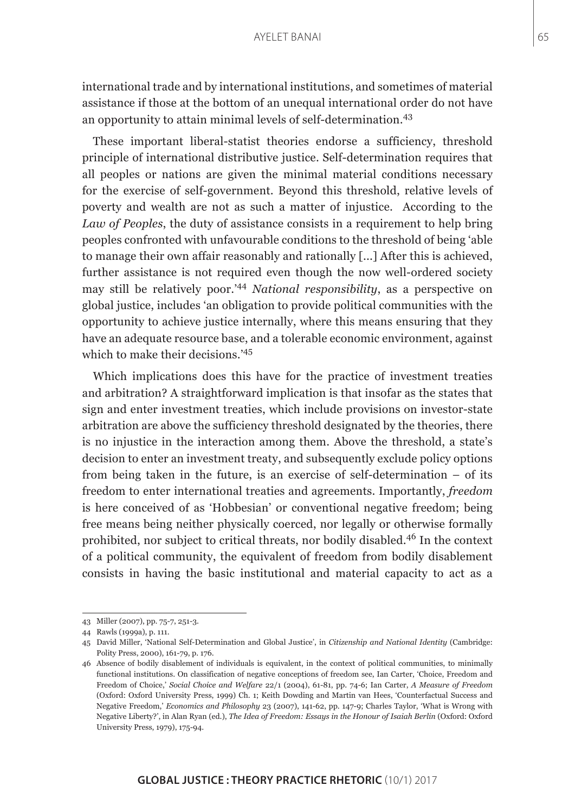international trade and by international institutions, and sometimes of material assistance if those at the bottom of an unequal international order do not have an opportunity to attain minimal levels of self-determination.<sup>43</sup>

These important liberal-statist theories endorse a sufficiency, threshold principle of international distributive justice. Self-determination requires that all peoples or nations are given the minimal material conditions necessary for the exercise of self-government. Beyond this threshold, relative levels of poverty and wealth are not as such a matter of injustice. According to the *Law of Peoples*, the duty of assistance consists in a requirement to help bring peoples confronted with unfavourable conditions to the threshold of being 'able to manage their own affair reasonably and rationally [...] After this is achieved, further assistance is not required even though the now well-ordered society may still be relatively poor.'<sup>44</sup> *National responsibility*, as a perspective on global justice, includes 'an obligation to provide political communities with the opportunity to achieve justice internally, where this means ensuring that they have an adequate resource base, and a tolerable economic environment, against which to make their decisions.'45

Which implications does this have for the practice of investment treaties and arbitration? A straightforward implication is that insofar as the states that sign and enter investment treaties, which include provisions on investor-state arbitration are above the sufficiency threshold designated by the theories, there is no injustice in the interaction among them. Above the threshold, a state's decision to enter an investment treaty, and subsequently exclude policy options from being taken in the future, is an exercise of self-determination – of its freedom to enter international treaties and agreements. Importantly, *freedom* is here conceived of as 'Hobbesian' or conventional negative freedom; being free means being neither physically coerced, nor legally or otherwise formally prohibited, nor subject to critical threats, nor bodily disabled.46 In the context of a political community, the equivalent of freedom from bodily disablement consists in having the basic institutional and material capacity to act as a

<sup>43</sup> Miller (2007), pp. 75-7, 251-3.

<sup>44</sup> Rawls (1999a), p. 111.

<sup>45</sup> David Miller, 'National Self-Determination and Global Justice', in *Citizenship and National Identity* (Cambridge: Polity Press, 2000), 161-79, p. 176.

<sup>46</sup> Absence of bodily disablement of individuals is equivalent, in the context of political communities, to minimally functional institutions. On classification of negative conceptions of freedom see, Ian Carter, 'Choice, Freedom and Freedom of Choice,' *Social Choice and Welfare* 22/1 (2004), 61-81, pp. 74-6; Ian Carter, *A Measure of Freedom* (Oxford: Oxford University Press, 1999) Ch. 1; Keith Dowding and Martin van Hees, 'Counterfactual Success and Negative Freedom,' *Economics and Philosophy* 23 (2007), 141-62, pp. 147-9; Charles Taylor, 'What is Wrong with Negative Liberty?', in Alan Ryan (ed.), *The Idea of Freedom: Essays in the Honour of Isaiah Berlin* (Oxford: Oxford University Press, 1979), 175-94.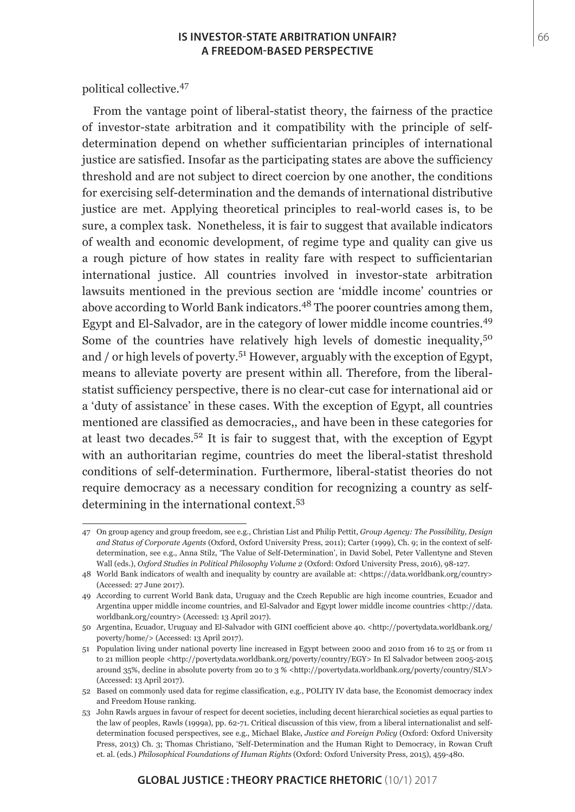#### **IS INVESTOR-STATE ARBITRATION UNFAIR?** 66 **A FREEDOM-BASED PERSPECTIVE**

political collective.<sup>47</sup>

From the vantage point of liberal-statist theory, the fairness of the practice of investor-state arbitration and it compatibility with the principle of selfdetermination depend on whether sufficientarian principles of international justice are satisfied. Insofar as the participating states are above the sufficiency threshold and are not subject to direct coercion by one another, the conditions for exercising self-determination and the demands of international distributive justice are met. Applying theoretical principles to real-world cases is, to be sure, a complex task. Nonetheless, it is fair to suggest that available indicators of wealth and economic development, of regime type and quality can give us a rough picture of how states in reality fare with respect to sufficientarian international justice. All countries involved in investor-state arbitration lawsuits mentioned in the previous section are 'middle income' countries or above according to World Bank indicators.<sup>48</sup> The poorer countries among them, Egypt and El-Salvador, are in the category of lower middle income countries.<sup>49</sup> Some of the countries have relatively high levels of domestic inequality,  $5^{\circ}$ and / or high levels of poverty.<sup>51</sup> However, arguably with the exception of Egypt, means to alleviate poverty are present within all. Therefore, from the liberalstatist sufficiency perspective, there is no clear-cut case for international aid or a 'duty of assistance' in these cases. With the exception of Egypt, all countries mentioned are classified as democracies,, and have been in these categories for at least two decades.<sup>52</sup> It is fair to suggest that, with the exception of Egypt with an authoritarian regime, countries do meet the liberal-statist threshold conditions of self-determination. Furthermore, liberal-statist theories do not require democracy as a necessary condition for recognizing a country as selfdetermining in the international context.<sup>53</sup>

<sup>47</sup> On group agency and group freedom, see e.g., Christian List and Philip Pettit, *Group Agency: The Possibility, Design and Status of Corporate Agents* (Oxford, Oxford University Press, 2011); Carter (1999), Ch. 9; in the context of selfdetermination, see e.g., Anna Stilz, 'The Value of Self-Determination', in David Sobel, Peter Vallentyne and Steven Wall (eds.), *Oxford Studies in Political Philosophy Volume 2* (Oxford: Oxford University Press, 2016), 98-127.

<sup>48</sup> World Bank indicators of wealth and inequality by country are available at: <https://data.worldbank.org/country> (Accessed: 27 June 2017).

<sup>49</sup> According to current World Bank data, Uruguay and the Czech Republic are high income countries, Ecuador and Argentina upper middle income countries, and El-Salvador and Egypt lower middle income countries <http://data. worldbank.org/country> (Accessed: 13 April 2017).

<sup>50</sup> Argentina, Ecuador, Uruguay and El-Salvador with GINI coefficient above 40. <http://povertydata.worldbank.org/ poverty/home/> (Accessed: 13 April 2017).

<sup>51</sup> Population living under national poverty line increased in Egypt between 2000 and 2010 from 16 to 25 or from 11 to 21 million people <http://povertydata.worldbank.org/poverty/country/EGY> In El Salvador between 2005-2015 around 35%, decline in absolute poverty from 20 to 3 % <http://povertydata.worldbank.org/poverty/country/SLV> (Accessed: 13 April 2017).

<sup>52</sup> Based on commonly used data for regime classification, e.g., POLITY IV data base, the Economist democracy index and Freedom House ranking.

<sup>53</sup> John Rawls argues in favour of respect for decent societies, including decent hierarchical societies as equal parties to the law of peoples, Rawls (1999a), pp. 62-71. Critical discussion of this view, from a liberal internationalist and selfdetermination focused perspectives, see e.g., Michael Blake, *Justice and Foreign Policy* (Oxford: Oxford University Press, 2013) Ch. 3; Thomas Christiano, 'Self-Determination and the Human Right to Democracy, in Rowan Cruft et. al. (eds.) *Philosophical Foundations of Human Rights* (Oxford: Oxford University Press, 2015), 459-480.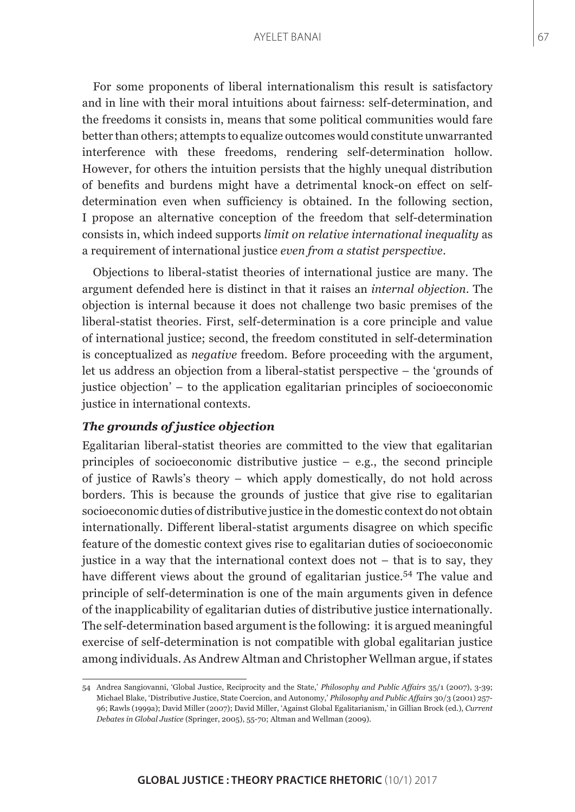For some proponents of liberal internationalism this result is satisfactory and in line with their moral intuitions about fairness: self-determination, and the freedoms it consists in, means that some political communities would fare better than others; attempts to equalize outcomes would constitute unwarranted interference with these freedoms, rendering self-determination hollow. However, for others the intuition persists that the highly unequal distribution of benefits and burdens might have a detrimental knock-on effect on selfdetermination even when sufficiency is obtained. In the following section, I propose an alternative conception of the freedom that self-determination consists in, which indeed supports *limit on relative international inequality* as a requirement of international justice *even from a statist perspective*.

Objections to liberal-statist theories of international justice are many. The argument defended here is distinct in that it raises an *internal objection*. The objection is internal because it does not challenge two basic premises of the liberal-statist theories. First, self-determination is a core principle and value of international justice; second, the freedom constituted in self-determination is conceptualized as *negative* freedom. Before proceeding with the argument, let us address an objection from a liberal-statist perspective – the 'grounds of justice objection' – to the application egalitarian principles of socioeconomic justice in international contexts.

## *The grounds of justice objection*

Egalitarian liberal-statist theories are committed to the view that egalitarian principles of socioeconomic distributive justice  $-$  e.g., the second principle of justice of Rawls's theory – which apply domestically, do not hold across borders. This is because the grounds of justice that give rise to egalitarian socioeconomic duties of distributive justice in the domestic context do not obtain internationally. Different liberal-statist arguments disagree on which specific feature of the domestic context gives rise to egalitarian duties of socioeconomic justice in a way that the international context does not – that is to say, they have different views about the ground of egalitarian justice.<sup>54</sup> The value and principle of self-determination is one of the main arguments given in defence of the inapplicability of egalitarian duties of distributive justice internationally. The self-determination based argument is the following: it is argued meaningful exercise of self-determination is not compatible with global egalitarian justice among individuals. As Andrew Altman and Christopher Wellman argue, if states

<sup>54</sup> Andrea Sangiovanni, 'Global Justice, Reciprocity and the State,' *Philosophy and Public Affairs* 35/1 (2007), 3-39; Michael Blake, 'Distributive Justice, State Coercion, and Autonomy,' *Philosophy and Public Affairs* 30/3 (2001) 257- 96; Rawls (1999a); David Miller (2007); David Miller, 'Against Global Egalitarianism,' in Gillian Brock (ed.), *Current Debates in Global Justice* (Springer, 2005), 55-70; Altman and Wellman (2009).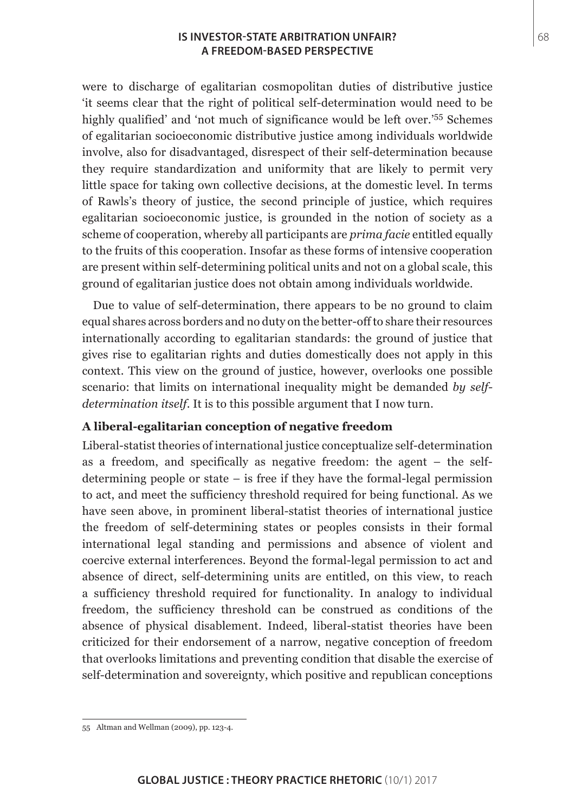## **IS INVESTOR-STATE ARBITRATION UNFAIR?** 68 **A FREEDOM-BASED PERSPECTIVE**

were to discharge of egalitarian cosmopolitan duties of distributive justice 'it seems clear that the right of political self-determination would need to be highly qualified' and 'not much of significance would be left over.'55 Schemes of egalitarian socioeconomic distributive justice among individuals worldwide involve, also for disadvantaged, disrespect of their self-determination because they require standardization and uniformity that are likely to permit very little space for taking own collective decisions, at the domestic level. In terms of Rawls's theory of justice, the second principle of justice, which requires egalitarian socioeconomic justice, is grounded in the notion of society as a scheme of cooperation, whereby all participants are *prima facie* entitled equally to the fruits of this cooperation. Insofar as these forms of intensive cooperation are present within self-determining political units and not on a global scale, this ground of egalitarian justice does not obtain among individuals worldwide.

Due to value of self-determination, there appears to be no ground to claim equal shares across borders and no duty on the better-off to share their resources internationally according to egalitarian standards: the ground of justice that gives rise to egalitarian rights and duties domestically does not apply in this context. This view on the ground of justice, however, overlooks one possible scenario: that limits on international inequality might be demanded *by selfdetermination itself*. It is to this possible argument that I now turn.

## **A liberal-egalitarian conception of negative freedom**

Liberal-statist theories of international justice conceptualize self-determination as a freedom, and specifically as negative freedom: the agent – the selfdetermining people or state – is free if they have the formal-legal permission to act, and meet the sufficiency threshold required for being functional. As we have seen above, in prominent liberal-statist theories of international justice the freedom of self-determining states or peoples consists in their formal international legal standing and permissions and absence of violent and coercive external interferences. Beyond the formal-legal permission to act and absence of direct, self-determining units are entitled, on this view, to reach a sufficiency threshold required for functionality. In analogy to individual freedom, the sufficiency threshold can be construed as conditions of the absence of physical disablement. Indeed, liberal-statist theories have been criticized for their endorsement of a narrow, negative conception of freedom that overlooks limitations and preventing condition that disable the exercise of self-determination and sovereignty, which positive and republican conceptions

<sup>55</sup> Altman and Wellman (2009), pp. 123-4.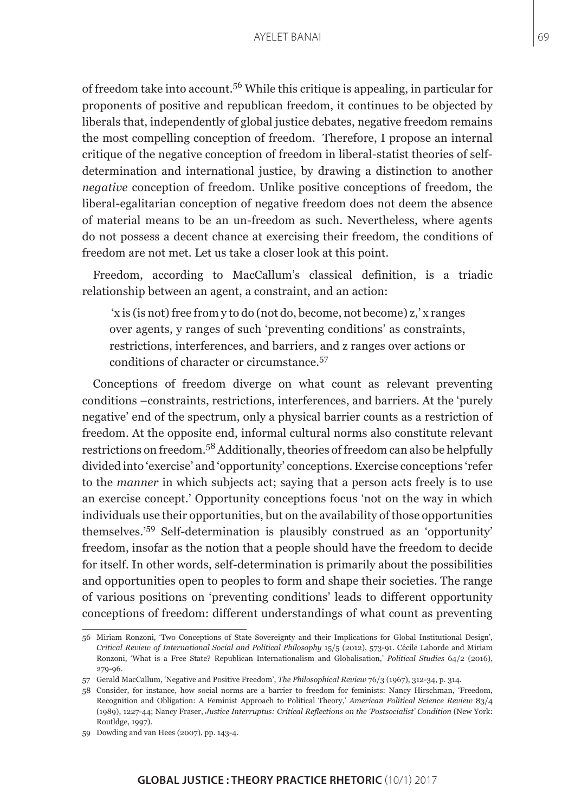of freedom take into account.56 While this critique is appealing, in particular for proponents of positive and republican freedom, it continues to be objected by liberals that, independently of global justice debates, negative freedom remains the most compelling conception of freedom. Therefore, I propose an internal critique of the negative conception of freedom in liberal-statist theories of selfdetermination and international justice, by drawing a distinction to another *negative* conception of freedom. Unlike positive conceptions of freedom, the liberal-egalitarian conception of negative freedom does not deem the absence of material means to be an un-freedom as such. Nevertheless, where agents do not possess a decent chance at exercising their freedom, the conditions of freedom are not met. Let us take a closer look at this point.

Freedom, according to MacCallum's classical definition, is a triadic relationship between an agent, a constraint, and an action:

 'x is (is not) free from y to do (not do, become, not become) z,' x ranges over agents, y ranges of such 'preventing conditions' as constraints, restrictions, interferences, and barriers, and z ranges over actions or conditions of character or circumstance.<sup>57</sup>

Conceptions of freedom diverge on what count as relevant preventing conditions –constraints, restrictions, interferences, and barriers. At the 'purely negative' end of the spectrum, only a physical barrier counts as a restriction of freedom. At the opposite end, informal cultural norms also constitute relevant restrictions on freedom.58 Additionally, theories of freedom can also be helpfully divided into 'exercise' and 'opportunity' conceptions. Exercise conceptions 'refer to the *manner* in which subjects act; saying that a person acts freely is to use an exercise concept.' Opportunity conceptions focus 'not on the way in which individuals use their opportunities, but on the availability of those opportunities themselves.'59 Self-determination is plausibly construed as an 'opportunity' freedom, insofar as the notion that a people should have the freedom to decide for itself. In other words, self-determination is primarily about the possibilities and opportunities open to peoples to form and shape their societies. The range of various positions on 'preventing conditions' leads to different opportunity conceptions of freedom: different understandings of what count as preventing

<sup>56</sup> Miriam Ronzoni, 'Two Conceptions of State Sovereignty and their Implications for Global Institutional Design', *Critical Review of International Social and Political Philosophy* 15/5 (2012), 573-91. Cécile Laborde and Miriam Ronzoni, 'What is a Free State? Republican Internationalism and Globalisation,' *Political Studies* 64/2 (2016), 279-96.

<sup>57</sup> Gerald MacCallum, 'Negative and Positive Freedom', *The Philosophical Review* 76/3 (1967), 312-34, p. 314.

<sup>58</sup> Consider, for instance, how social norms are a barrier to freedom for feminists: Nancy Hirschman, 'Freedom, Recognition and Obligation: A Feminist Approach to Political Theory,' *American Political Science Review* 83/4 (1989), 1227-44; Nancy Fraser, *Justice Interruptus: Critical Reflections on the 'Postsocialist' Condition* (New York: Routldge, 1997).

<sup>59</sup> Dowding and van Hees (2007), pp. 143-4.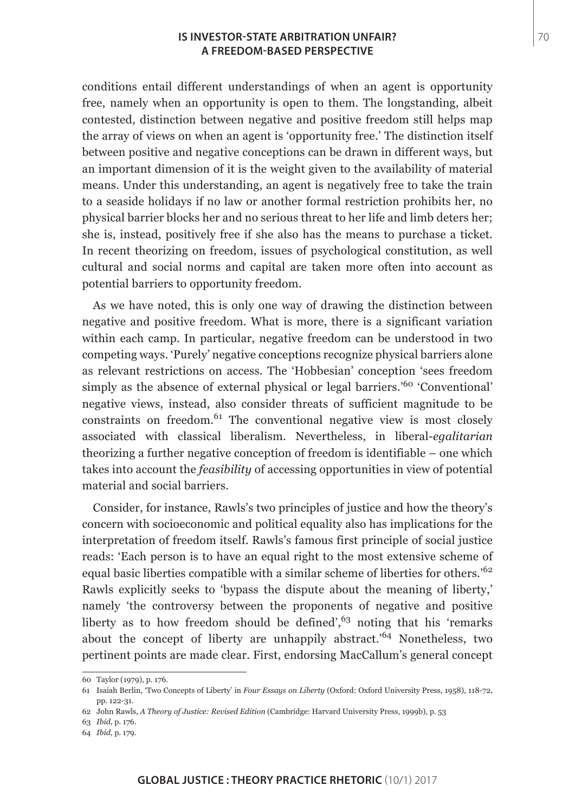### **IS INVESTOR-STATE ARBITRATION UNFAIR? THE STATE OF A STATE ARBITRATION** UNFAIR? **A FREEDOM-BASED PERSPECTIVE**

conditions entail different understandings of when an agent is opportunity free, namely when an opportunity is open to them. The longstanding, albeit contested, distinction between negative and positive freedom still helps map the array of views on when an agent is 'opportunity free.' The distinction itself between positive and negative conceptions can be drawn in different ways, but an important dimension of it is the weight given to the availability of material means. Under this understanding, an agent is negatively free to take the train to a seaside holidays if no law or another formal restriction prohibits her, no physical barrier blocks her and no serious threat to her life and limb deters her; she is, instead, positively free if she also has the means to purchase a ticket. In recent theorizing on freedom, issues of psychological constitution, as well cultural and social norms and capital are taken more often into account as potential barriers to opportunity freedom.

As we have noted, this is only one way of drawing the distinction between negative and positive freedom. What is more, there is a significant variation within each camp. In particular, negative freedom can be understood in two competing ways. 'Purely' negative conceptions recognize physical barriers alone as relevant restrictions on access. The 'Hobbesian' conception 'sees freedom simply as the absence of external physical or legal barriers.<sup>'60</sup> 'Conventional' negative views, instead, also consider threats of sufficient magnitude to be constraints on freedom. $61$  The conventional negative view is most closely associated with classical liberalism. Nevertheless, in liberal-*egalitarian* theorizing a further negative conception of freedom is identifiable – one which takes into account the *feasibility* of accessing opportunities in view of potential material and social barriers.

Consider, for instance, Rawls's two principles of justice and how the theory's concern with socioeconomic and political equality also has implications for the interpretation of freedom itself. Rawls's famous first principle of social justice reads: 'Each person is to have an equal right to the most extensive scheme of equal basic liberties compatible with a similar scheme of liberties for others.<sup>'62</sup> Rawls explicitly seeks to 'bypass the dispute about the meaning of liberty,' namely 'the controversy between the proponents of negative and positive liberty as to how freedom should be defined', $63$  noting that his 'remarks' about the concept of liberty are unhappily abstract.'64 Nonetheless, two pertinent points are made clear. First, endorsing MacCallum's general concept

<sup>60</sup> Taylor (1979), p. 176.

<sup>61</sup> Isaiah Berlin, 'Two Concepts of Liberty' in *Four Essays on Liberty* (Oxford: Oxford University Press, 1958), 118-72, pp. 122-31.

<sup>62</sup> John Rawls, *A Theory of Justice: Revised Edition* (Cambridge: Harvard University Press, 1999b), p. 53

<sup>63</sup> *Ibid*, p. 176.

<sup>64</sup> *Ibid*, p. 179.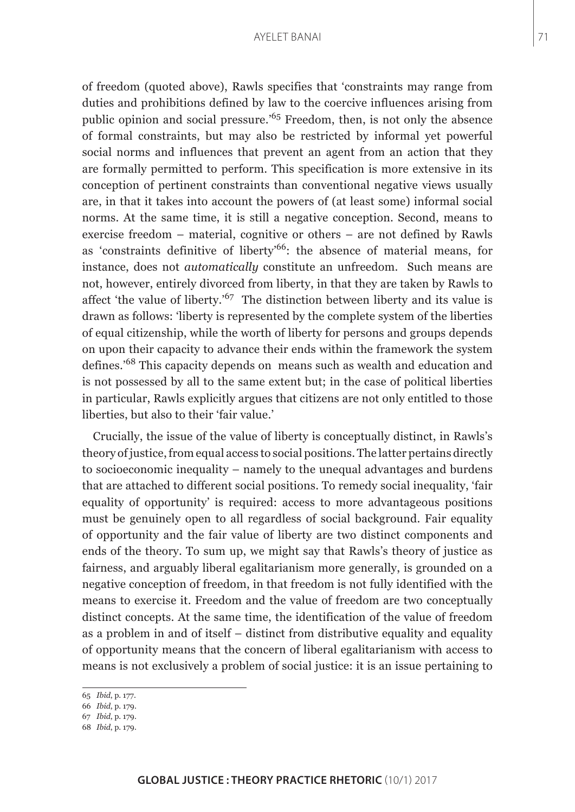of freedom (quoted above), Rawls specifies that 'constraints may range from duties and prohibitions defined by law to the coercive influences arising from public opinion and social pressure.'65 Freedom, then, is not only the absence of formal constraints, but may also be restricted by informal yet powerful social norms and influences that prevent an agent from an action that they are formally permitted to perform. This specification is more extensive in its conception of pertinent constraints than conventional negative views usually are, in that it takes into account the powers of (at least some) informal social norms. At the same time, it is still a negative conception. Second, means to exercise freedom – material, cognitive or others – are not defined by Rawls as 'constraints definitive of liberty'66: the absence of material means, for instance, does not *automatically* constitute an unfreedom. Such means are not, however, entirely divorced from liberty, in that they are taken by Rawls to affect 'the value of liberty.'<sup>67</sup> The distinction between liberty and its value is drawn as follows: 'liberty is represented by the complete system of the liberties of equal citizenship, while the worth of liberty for persons and groups depends on upon their capacity to advance their ends within the framework the system defines.'68 This capacity depends on means such as wealth and education and is not possessed by all to the same extent but; in the case of political liberties in particular, Rawls explicitly argues that citizens are not only entitled to those liberties, but also to their 'fair value.'

Crucially, the issue of the value of liberty is conceptually distinct, in Rawls's theory of justice, from equal access to social positions. The latter pertains directly to socioeconomic inequality – namely to the unequal advantages and burdens that are attached to different social positions. To remedy social inequality, 'fair equality of opportunity' is required: access to more advantageous positions must be genuinely open to all regardless of social background. Fair equality of opportunity and the fair value of liberty are two distinct components and ends of the theory. To sum up, we might say that Rawls's theory of justice as fairness, and arguably liberal egalitarianism more generally, is grounded on a negative conception of freedom, in that freedom is not fully identified with the means to exercise it. Freedom and the value of freedom are two conceptually distinct concepts. At the same time, the identification of the value of freedom as a problem in and of itself – distinct from distributive equality and equality of opportunity means that the concern of liberal egalitarianism with access to means is not exclusively a problem of social justice: it is an issue pertaining to

67 *Ibid*, p. 179.

<sup>65</sup> *Ibid*, p. 177.

<sup>66</sup> *Ibid*, p. 179.

<sup>68</sup> *Ibid*, p. 179.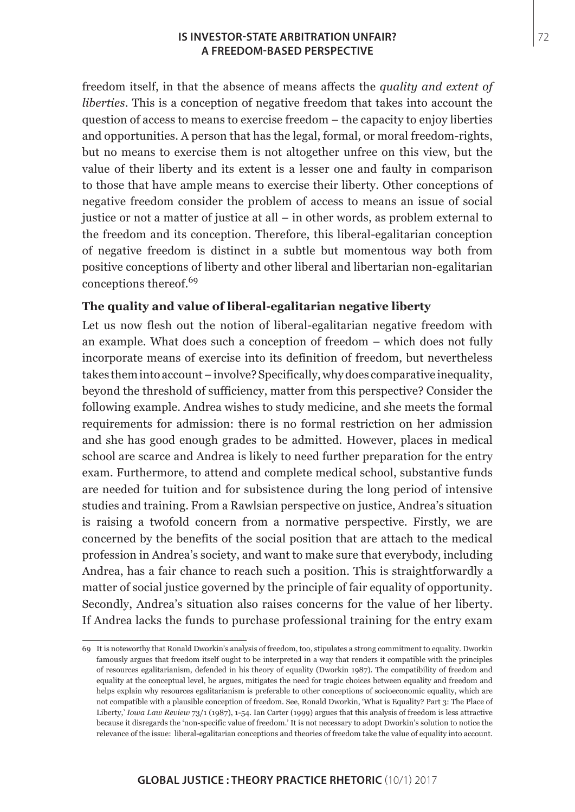## **IS INVESTOR-STATE ARBITRATION UNFAIR?** 72 **A FREEDOM-BASED PERSPECTIVE**

freedom itself, in that the absence of means affects the *quality and extent of liberties*. This is a conception of negative freedom that takes into account the question of access to means to exercise freedom – the capacity to enjoy liberties and opportunities. A person that has the legal, formal, or moral freedom-rights, but no means to exercise them is not altogether unfree on this view, but the value of their liberty and its extent is a lesser one and faulty in comparison to those that have ample means to exercise their liberty. Other conceptions of negative freedom consider the problem of access to means an issue of social justice or not a matter of justice at all – in other words, as problem external to the freedom and its conception. Therefore, this liberal-egalitarian conception of negative freedom is distinct in a subtle but momentous way both from positive conceptions of liberty and other liberal and libertarian non-egalitarian conceptions thereof.<sup>69</sup>

## **The quality and value of liberal-egalitarian negative liberty**

Let us now flesh out the notion of liberal-egalitarian negative freedom with an example. What does such a conception of freedom – which does not fully incorporate means of exercise into its definition of freedom, but nevertheless takes them into account – involve? Specifically, why does comparative inequality, beyond the threshold of sufficiency, matter from this perspective? Consider the following example. Andrea wishes to study medicine, and she meets the formal requirements for admission: there is no formal restriction on her admission and she has good enough grades to be admitted. However, places in medical school are scarce and Andrea is likely to need further preparation for the entry exam. Furthermore, to attend and complete medical school, substantive funds are needed for tuition and for subsistence during the long period of intensive studies and training. From a Rawlsian perspective on justice, Andrea's situation is raising a twofold concern from a normative perspective. Firstly, we are concerned by the benefits of the social position that are attach to the medical profession in Andrea's society, and want to make sure that everybody, including Andrea, has a fair chance to reach such a position. This is straightforwardly a matter of social justice governed by the principle of fair equality of opportunity. Secondly, Andrea's situation also raises concerns for the value of her liberty. If Andrea lacks the funds to purchase professional training for the entry exam

<sup>69</sup> It is noteworthy that Ronald Dworkin's analysis of freedom, too, stipulates a strong commitment to equality. Dworkin famously argues that freedom itself ought to be interpreted in a way that renders it compatible with the principles of resources egalitarianism, defended in his theory of equality (Dworkin 1987). The compatibility of freedom and equality at the conceptual level, he argues, mitigates the need for tragic choices between equality and freedom and helps explain why resources egalitarianism is preferable to other conceptions of socioeconomic equality, which are not compatible with a plausible conception of freedom. See, Ronald Dworkin, 'What is Equality? Part 3: The Place of Liberty,' *Iowa Law Review* 73/1 (1987), 1-54. Ian Carter (1999) argues that this analysis of freedom is less attractive because it disregards the 'non-specific value of freedom.' It is not necessary to adopt Dworkin's solution to notice the relevance of the issue: liberal-egalitarian conceptions and theories of freedom take the value of equality into account.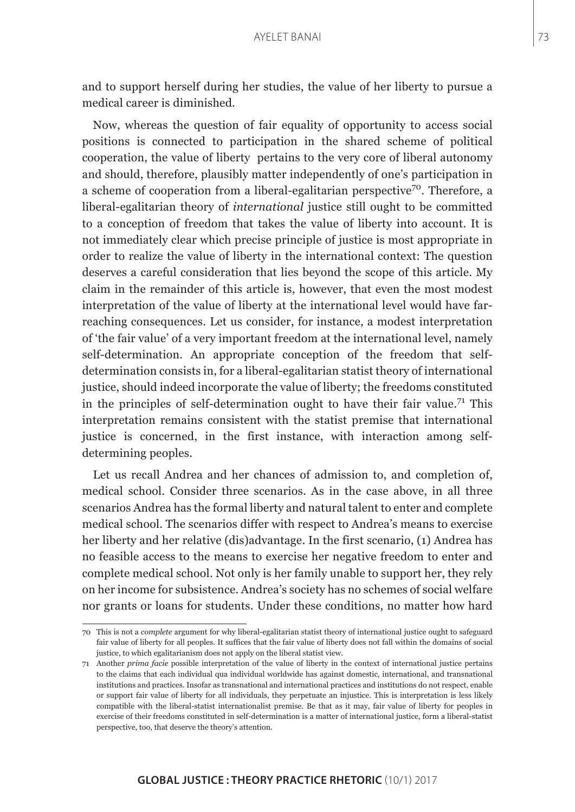and to support herself during her studies, the value of her liberty to pursue a medical career is diminished.

Now, whereas the question of fair equality of opportunity to access social positions is connected to participation in the shared scheme of political cooperation, the value of liberty pertains to the very core of liberal autonomy and should, therefore, plausibly matter independently of one's participation in a scheme of cooperation from a liberal-egalitarian perspective<sup>70</sup>. Therefore, a liberal-egalitarian theory of *international* justice still ought to be committed to a conception of freedom that takes the value of liberty into account. It is not immediately clear which precise principle of justice is most appropriate in order to realize the value of liberty in the international context: The question deserves a careful consideration that lies beyond the scope of this article. My claim in the remainder of this article is, however, that even the most modest interpretation of the value of liberty at the international level would have farreaching consequences. Let us consider, for instance, a modest interpretation of 'the fair value' of a very important freedom at the international level, namely self-determination. An appropriate conception of the freedom that selfdetermination consists in, for a liberal-egalitarian statist theory of international justice, should indeed incorporate the value of liberty; the freedoms constituted in the principles of self-determination ought to have their fair value.<sup>71</sup> This interpretation remains consistent with the statist premise that international justice is concerned, in the first instance, with interaction among selfdetermining peoples.

Let us recall Andrea and her chances of admission to, and completion of, medical school. Consider three scenarios. As in the case above, in all three scenarios Andrea has the formal liberty and natural talent to enter and complete medical school. The scenarios differ with respect to Andrea's means to exercise her liberty and her relative (dis)advantage. In the first scenario, (1) Andrea has no feasible access to the means to exercise her negative freedom to enter and complete medical school. Not only is her family unable to support her, they rely on her income for subsistence. Andrea's society has no schemes of social welfare nor grants or loans for students. Under these conditions, no matter how hard

<sup>70</sup> This is not a *complete* argument for why liberal-egalitarian statist theory of international justice ought to safeguard fair value of liberty for all peoples. It suffices that the fair value of liberty does not fall within the domains of social justice, to which egalitarianism does not apply on the liberal statist view.

<sup>71</sup> Another *prima facie* possible interpretation of the value of liberty in the context of international justice pertains to the claims that each individual qua individual worldwide has against domestic, international, and transnational institutions and practices. Insofar as transnational and international practices and institutions do not respect, enable or support fair value of liberty for all individuals, they perpetuate an injustice. This is interpretation is less likely compatible with the liberal-statist internationalist premise. Be that as it may, fair value of liberty for peoples in exercise of their freedoms constituted in self-determination is a matter of international justice, form a liberal-statist perspective, too, that deserve the theory's attention.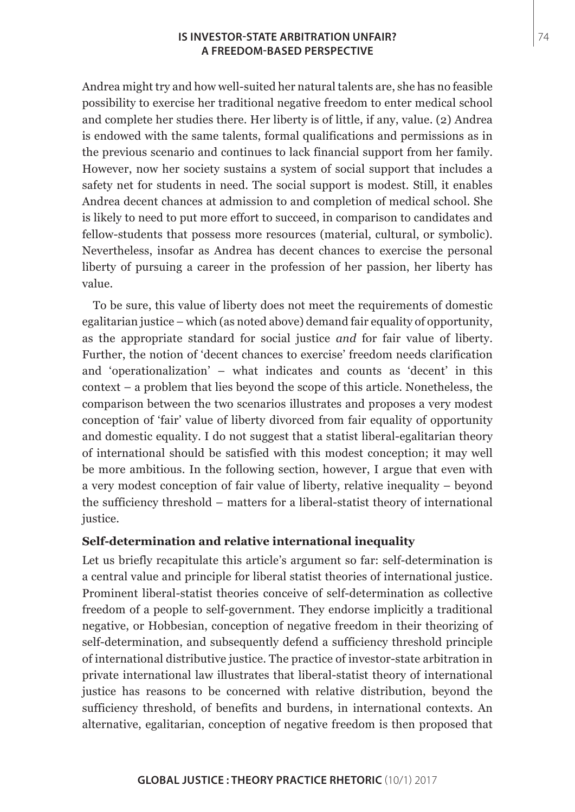## **IS INVESTOR-STATE ARBITRATION UNFAIR?** 74 **A FREEDOM-BASED PERSPECTIVE**

Andrea might try and how well-suited her natural talents are, she has no feasible possibility to exercise her traditional negative freedom to enter medical school and complete her studies there. Her liberty is of little, if any, value. (2) Andrea is endowed with the same talents, formal qualifications and permissions as in the previous scenario and continues to lack financial support from her family. However, now her society sustains a system of social support that includes a safety net for students in need. The social support is modest. Still, it enables Andrea decent chances at admission to and completion of medical school. She is likely to need to put more effort to succeed, in comparison to candidates and fellow-students that possess more resources (material, cultural, or symbolic). Nevertheless, insofar as Andrea has decent chances to exercise the personal liberty of pursuing a career in the profession of her passion, her liberty has value.

To be sure, this value of liberty does not meet the requirements of domestic egalitarian justice – which (as noted above) demand fair equality of opportunity, as the appropriate standard for social justice *and* for fair value of liberty. Further, the notion of 'decent chances to exercise' freedom needs clarification and 'operationalization' – what indicates and counts as 'decent' in this context – a problem that lies beyond the scope of this article. Nonetheless, the comparison between the two scenarios illustrates and proposes a very modest conception of 'fair' value of liberty divorced from fair equality of opportunity and domestic equality. I do not suggest that a statist liberal-egalitarian theory of international should be satisfied with this modest conception; it may well be more ambitious. In the following section, however, I argue that even with a very modest conception of fair value of liberty, relative inequality – beyond the sufficiency threshold – matters for a liberal-statist theory of international justice.

## **Self-determination and relative international inequality**

Let us briefly recapitulate this article's argument so far: self-determination is a central value and principle for liberal statist theories of international justice. Prominent liberal-statist theories conceive of self-determination as collective freedom of a people to self-government. They endorse implicitly a traditional negative, or Hobbesian, conception of negative freedom in their theorizing of self-determination, and subsequently defend a sufficiency threshold principle of international distributive justice. The practice of investor-state arbitration in private international law illustrates that liberal-statist theory of international justice has reasons to be concerned with relative distribution, beyond the sufficiency threshold, of benefits and burdens, in international contexts. An alternative, egalitarian, conception of negative freedom is then proposed that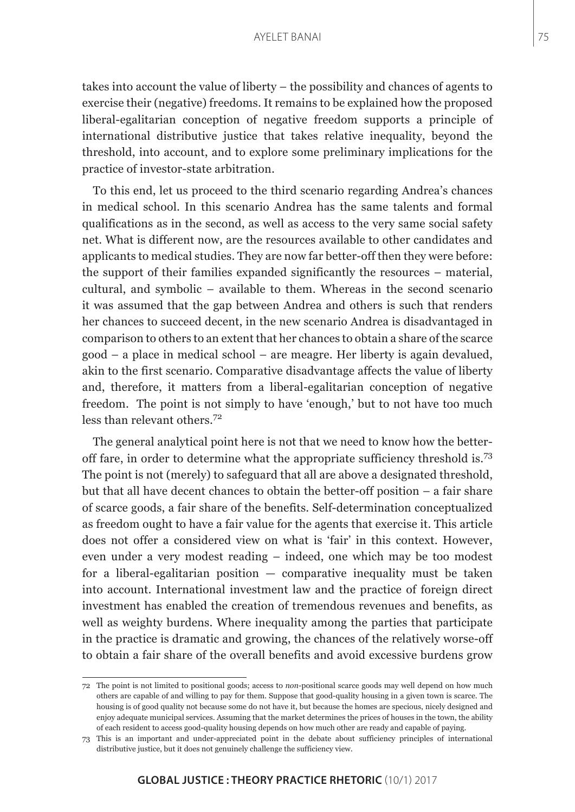takes into account the value of liberty – the possibility and chances of agents to exercise their (negative) freedoms. It remains to be explained how the proposed liberal-egalitarian conception of negative freedom supports a principle of international distributive justice that takes relative inequality, beyond the threshold, into account, and to explore some preliminary implications for the practice of investor-state arbitration.

To this end, let us proceed to the third scenario regarding Andrea's chances in medical school. In this scenario Andrea has the same talents and formal qualifications as in the second, as well as access to the very same social safety net. What is different now, are the resources available to other candidates and applicants to medical studies. They are now far better-off then they were before: the support of their families expanded significantly the resources – material, cultural, and symbolic – available to them. Whereas in the second scenario it was assumed that the gap between Andrea and others is such that renders her chances to succeed decent, in the new scenario Andrea is disadvantaged in comparison to others to an extent that her chances to obtain a share of the scarce good – a place in medical school – are meagre. Her liberty is again devalued, akin to the first scenario. Comparative disadvantage affects the value of liberty and, therefore, it matters from a liberal-egalitarian conception of negative freedom. The point is not simply to have 'enough,' but to not have too much less than relevant others.<sup>72</sup>

The general analytical point here is not that we need to know how the betteroff fare, in order to determine what the appropriate sufficiency threshold is.<sup>73</sup> The point is not (merely) to safeguard that all are above a designated threshold, but that all have decent chances to obtain the better-off position – a fair share of scarce goods, a fair share of the benefits. Self-determination conceptualized as freedom ought to have a fair value for the agents that exercise it. This article does not offer a considered view on what is 'fair' in this context. However, even under a very modest reading – indeed, one which may be too modest for a liberal-egalitarian position  $-$  comparative inequality must be taken into account. International investment law and the practice of foreign direct investment has enabled the creation of tremendous revenues and benefits, as well as weighty burdens. Where inequality among the parties that participate in the practice is dramatic and growing, the chances of the relatively worse-off to obtain a fair share of the overall benefits and avoid excessive burdens grow

<sup>72</sup> The point is not limited to positional goods; access to *non*-positional scarce goods may well depend on how much others are capable of and willing to pay for them. Suppose that good-quality housing in a given town is scarce. The housing is of good quality not because some do not have it, but because the homes are specious, nicely designed and enjoy adequate municipal services. Assuming that the market determines the prices of houses in the town, the ability of each resident to access good-quality housing depends on how much other are ready and capable of paying.

<sup>73</sup> This is an important and under-appreciated point in the debate about sufficiency principles of international distributive justice, but it does not genuinely challenge the sufficiency view.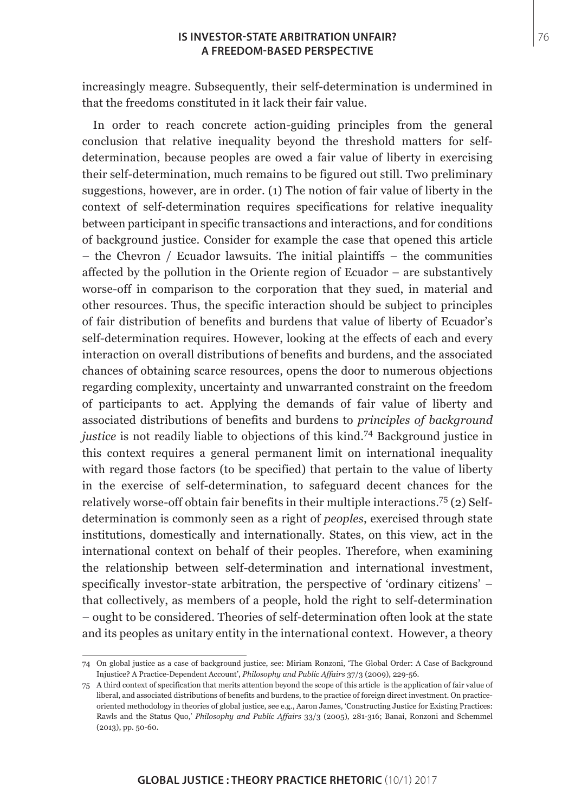#### **IS INVESTOR-STATE ARBITRATION UNFAIR?** 76 **A FREEDOM-BASED PERSPECTIVE**

increasingly meagre. Subsequently, their self-determination is undermined in that the freedoms constituted in it lack their fair value.

In order to reach concrete action-guiding principles from the general conclusion that relative inequality beyond the threshold matters for selfdetermination, because peoples are owed a fair value of liberty in exercising their self-determination, much remains to be figured out still. Two preliminary suggestions, however, are in order. (1) The notion of fair value of liberty in the context of self-determination requires specifications for relative inequality between participant in specific transactions and interactions, and for conditions of background justice. Consider for example the case that opened this article – the Chevron / Ecuador lawsuits. The initial plaintiffs – the communities affected by the pollution in the Oriente region of Ecuador – are substantively worse-off in comparison to the corporation that they sued, in material and other resources. Thus, the specific interaction should be subject to principles of fair distribution of benefits and burdens that value of liberty of Ecuador's self-determination requires. However, looking at the effects of each and every interaction on overall distributions of benefits and burdens, and the associated chances of obtaining scarce resources, opens the door to numerous objections regarding complexity, uncertainty and unwarranted constraint on the freedom of participants to act. Applying the demands of fair value of liberty and associated distributions of benefits and burdens to *principles of background justice* is not readily liable to objections of this kind.<sup>74</sup> Background justice in this context requires a general permanent limit on international inequality with regard those factors (to be specified) that pertain to the value of liberty in the exercise of self-determination, to safeguard decent chances for the relatively worse-off obtain fair benefits in their multiple interactions.75 (2) Selfdetermination is commonly seen as a right of *peoples*, exercised through state institutions, domestically and internationally. States, on this view, act in the international context on behalf of their peoples. Therefore, when examining the relationship between self-determination and international investment, specifically investor-state arbitration, the perspective of 'ordinary citizens' – that collectively, as members of a people, hold the right to self-determination – ought to be considered. Theories of self-determination often look at the state and its peoples as unitary entity in the international context. However, a theory

<sup>74</sup> On global justice as a case of background justice, see: Miriam Ronzoni, 'The Global Order: A Case of Background Injustice? A Practice-Dependent Account', *Philosophy and Public Affairs* 37/3 (2009), 229-56.

<sup>75</sup> A third context of specification that merits attention beyond the scope of this article is the application of fair value of liberal, and associated distributions of benefits and burdens, to the practice of foreign direct investment. On practiceoriented methodology in theories of global justice, see e.g., Aaron James, 'Constructing Justice for Existing Practices: Rawls and the Status Quo,' *Philosophy and Public Affairs* 33/3 (2005), 281-316; Banai, Ronzoni and Schemmel (2013), pp. 50-60.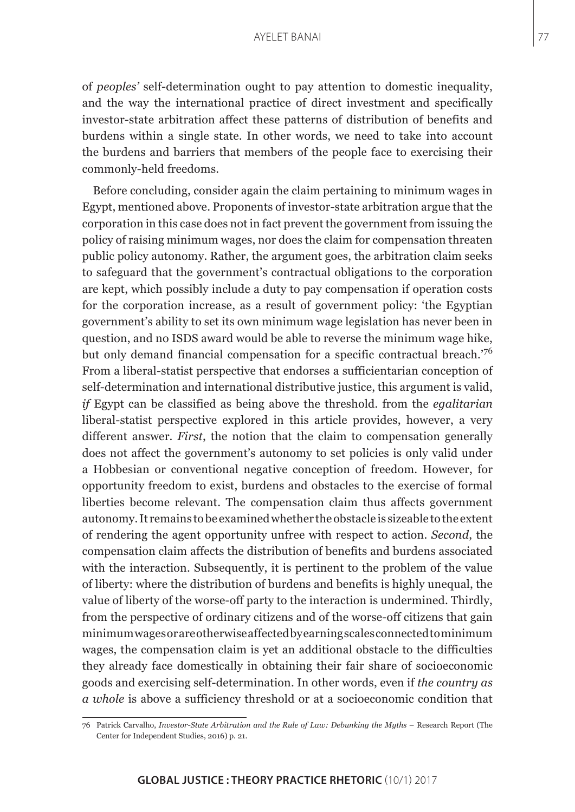of *peoples'* self-determination ought to pay attention to domestic inequality, and the way the international practice of direct investment and specifically investor-state arbitration affect these patterns of distribution of benefits and burdens within a single state. In other words, we need to take into account the burdens and barriers that members of the people face to exercising their commonly-held freedoms.

Before concluding, consider again the claim pertaining to minimum wages in Egypt, mentioned above. Proponents of investor-state arbitration argue that the corporation in this case does not in fact prevent the government from issuing the policy of raising minimum wages, nor does the claim for compensation threaten public policy autonomy. Rather, the argument goes, the arbitration claim seeks to safeguard that the government's contractual obligations to the corporation are kept, which possibly include a duty to pay compensation if operation costs for the corporation increase, as a result of government policy: 'the Egyptian government's ability to set its own minimum wage legislation has never been in question, and no ISDS award would be able to reverse the minimum wage hike, but only demand financial compensation for a specific contractual breach.'<sup>76</sup> From a liberal-statist perspective that endorses a sufficientarian conception of self-determination and international distributive justice, this argument is valid, *if* Egypt can be classified as being above the threshold. from the *egalitarian* liberal-statist perspective explored in this article provides, however, a very different answer. *First*, the notion that the claim to compensation generally does not affect the government's autonomy to set policies is only valid under a Hobbesian or conventional negative conception of freedom. However, for opportunity freedom to exist, burdens and obstacles to the exercise of formal liberties become relevant. The compensation claim thus affects government autonomy. It remains to be examined whether the obstacle is sizeable to the extent of rendering the agent opportunity unfree with respect to action. *Second*, the compensation claim affects the distribution of benefits and burdens associated with the interaction. Subsequently, it is pertinent to the problem of the value of liberty: where the distribution of burdens and benefits is highly unequal, the value of liberty of the worse-off party to the interaction is undermined. Thirdly, from the perspective of ordinary citizens and of the worse-off citizens that gain minimum wages or are otherwise affected by earning scales connected to minimum wages, the compensation claim is yet an additional obstacle to the difficulties they already face domestically in obtaining their fair share of socioeconomic goods and exercising self-determination. In other words, even if *the country as a whole* is above a sufficiency threshold or at a socioeconomic condition that

<sup>76</sup> Patrick Carvalho, *Investor-State Arbitration and the Rule of Law: Debunking the Myths* – Research Report (The Center for Independent Studies, 2016) p. 21.